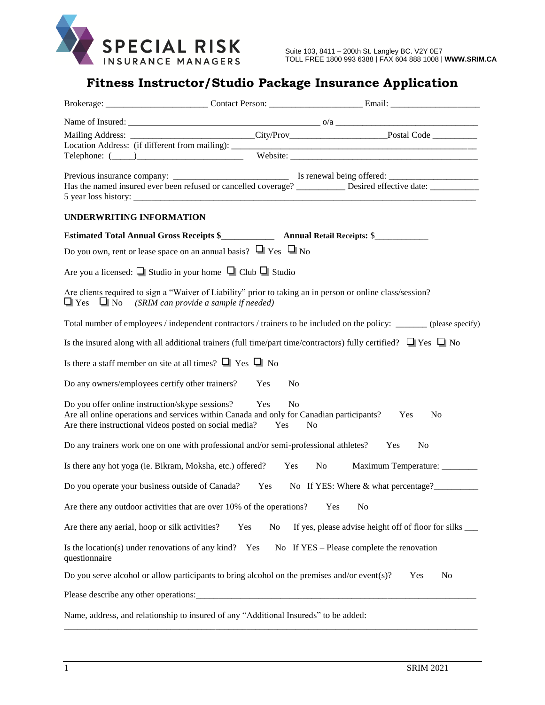

## **Fitness Instructor/Studio Package Insurance Application**

|                                                                                                                                                                                                                                                                                  |           | Mailing Address: ______________________________City/Prov_________________________Postal Code _____________<br>Telephone: ( <u>University of the analysis of the Website: (University of the set of the set of the set of the set of the set of the set of the set of the set of the set of the set of the set of the set of the set of the set </u> |  |  |  |  |
|----------------------------------------------------------------------------------------------------------------------------------------------------------------------------------------------------------------------------------------------------------------------------------|-----------|-----------------------------------------------------------------------------------------------------------------------------------------------------------------------------------------------------------------------------------------------------------------------------------------------------------------------------------------------------|--|--|--|--|
|                                                                                                                                                                                                                                                                                  |           | Has the named insured ever been refused or cancelled coverage? __________ Desired effective date: ___________                                                                                                                                                                                                                                       |  |  |  |  |
| <b>UNDERWRITING INFORMATION</b>                                                                                                                                                                                                                                                  |           |                                                                                                                                                                                                                                                                                                                                                     |  |  |  |  |
|                                                                                                                                                                                                                                                                                  |           | Estimated Total Annual Gross Receipts \$<br>Manual Retail Receipts: \$<br>Manual Retail Receipts: \$                                                                                                                                                                                                                                                |  |  |  |  |
| Do you own, rent or lease space on an annual basis? $\Box$ Yes $\Box$ No                                                                                                                                                                                                         |           |                                                                                                                                                                                                                                                                                                                                                     |  |  |  |  |
| Are you a licensed: $\Box$ Studio in your home $\Box$ Club $\Box$ Studio                                                                                                                                                                                                         |           |                                                                                                                                                                                                                                                                                                                                                     |  |  |  |  |
| Are clients required to sign a "Waiver of Liability" prior to taking an in person or online class/session?<br>$\Box$ Yes $\Box$ No (SRIM can provide a sample if needed)                                                                                                         |           |                                                                                                                                                                                                                                                                                                                                                     |  |  |  |  |
|                                                                                                                                                                                                                                                                                  |           | Total number of employees / independent contractors / trainers to be included on the policy: _______ (please specify)                                                                                                                                                                                                                               |  |  |  |  |
| Is the insured along with all additional trainers (full time/part time/contractors) fully certified? $\Box$ Yes $\Box$ No                                                                                                                                                        |           |                                                                                                                                                                                                                                                                                                                                                     |  |  |  |  |
| Is there a staff member on site at all times? $\Box$ Yes $\Box$ No                                                                                                                                                                                                               |           |                                                                                                                                                                                                                                                                                                                                                     |  |  |  |  |
| Do any owners/employees certify other trainers?                                                                                                                                                                                                                                  | Yes       | N <sub>0</sub>                                                                                                                                                                                                                                                                                                                                      |  |  |  |  |
| Do you offer online instruction/skype sessions?<br>Yes<br>N <sub>0</sub><br>Are all online operations and services within Canada and only for Canadian participants?<br>Yes<br>N <sub>0</sub><br>Are there instructional videos posted on social media?<br>Yes<br>N <sub>o</sub> |           |                                                                                                                                                                                                                                                                                                                                                     |  |  |  |  |
| Do any trainers work one on one with professional and/or semi-professional athletes?<br>Yes<br>No                                                                                                                                                                                |           |                                                                                                                                                                                                                                                                                                                                                     |  |  |  |  |
| Is there any hot yoga (ie. Bikram, Moksha, etc.) offered?<br>Yes<br>No<br>Maximum Temperature: ________                                                                                                                                                                          |           |                                                                                                                                                                                                                                                                                                                                                     |  |  |  |  |
| Do you operate your business outside of Canada?<br>Yes<br>No If YES: Where & what percentage?                                                                                                                                                                                    |           |                                                                                                                                                                                                                                                                                                                                                     |  |  |  |  |
| Are there any outdoor activities that are over 10% of the operations?<br>No<br>Yes                                                                                                                                                                                               |           |                                                                                                                                                                                                                                                                                                                                                     |  |  |  |  |
| Are there any aerial, hoop or silk activities?                                                                                                                                                                                                                                   | Yes<br>No | If yes, please advise height off of floor for silks ______                                                                                                                                                                                                                                                                                          |  |  |  |  |
| Is the location(s) under renovations of any kind? Yes<br>questionnaire                                                                                                                                                                                                           |           | No If YES – Please complete the renovation                                                                                                                                                                                                                                                                                                          |  |  |  |  |
| Do you serve alcohol or allow participants to bring alcohol on the premises and/or event(s)?<br>No<br>Yes                                                                                                                                                                        |           |                                                                                                                                                                                                                                                                                                                                                     |  |  |  |  |
|                                                                                                                                                                                                                                                                                  |           |                                                                                                                                                                                                                                                                                                                                                     |  |  |  |  |
| Name, address, and relationship to insured of any "Additional Insureds" to be added:                                                                                                                                                                                             |           |                                                                                                                                                                                                                                                                                                                                                     |  |  |  |  |

\_\_\_\_\_\_\_\_\_\_\_\_\_\_\_\_\_\_\_\_\_\_\_\_\_\_\_\_\_\_\_\_\_\_\_\_\_\_\_\_\_\_\_\_\_\_\_\_\_\_\_\_\_\_\_\_\_\_\_\_\_\_\_\_\_\_\_\_\_\_\_\_\_\_\_\_\_\_\_\_\_\_\_\_\_\_\_\_\_\_\_\_\_